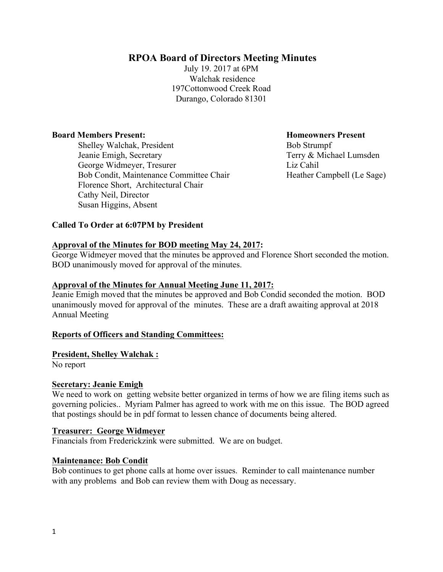# **RPOA Board of Directors Meeting Minutes**

July 19. 2017 at 6PM Walchak residence 197Cottonwood Creek Road Durango, Colorado 81301

### **Board Members Present: Homeowners Present**

**Shelley Walchak, President Bob Strumpf**  Jeanie Emigh, Secretary Terry & Michael Lumsden George Widmeyer, Tresurer Liz Cahil Bob Condit, Maintenance Committee Chair Heather Campbell (Le Sage) Florence Short, Architectural Chair Cathy Neil, Director Susan Higgins, Absent

### **Called To Order at 6:07PM by President**

#### **Approval of the Minutes for BOD meeting May 24, 2017:**

George Widmeyer moved that the minutes be approved and Florence Short seconded the motion. BOD unanimously moved for approval of the minutes.

#### **Approval of the Minutes for Annual Meeting June 11, 2017:**

Jeanie Emigh moved that the minutes be approved and Bob Condid seconded the motion. BOD unanimously moved for approval of the minutes. These are a draft awaiting approval at 2018 Annual Meeting

#### **Reports of Officers and Standing Committees:**

### **President, Shelley Walchak :**

No report

#### **Secretary: Jeanie Emigh**

We need to work on getting website better organized in terms of how we are filing items such as governing policies.. Myriam Palmer has agreed to work with me on this issue. The BOD agreed that postings should be in pdf format to lessen chance of documents being altered.

#### **Treasurer: George Widmeyer**

Financials from Frederickzink were submitted. We are on budget.

#### **Maintenance: Bob Condit**

Bob continues to get phone calls at home over issues. Reminder to call maintenance number with any problems and Bob can review them with Doug as necessary.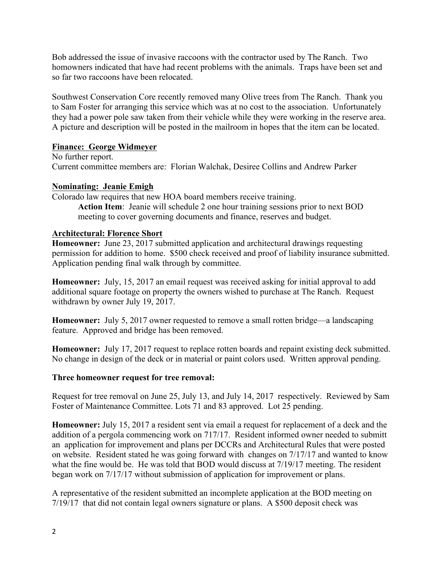Bob addressed the issue of invasive raccoons with the contractor used by The Ranch. Two homowners indicated that have had recent problems with the animals. Traps have been set and so far two raccoons have been relocated.

Southwest Conservation Core recently removed many Olive trees from The Ranch. Thank you to Sam Foster for arranging this service which was at no cost to the association. Unfortunately they had a power pole saw taken from their vehicle while they were working in the reserve area. A picture and description will be posted in the mailroom in hopes that the item can be located.

## **Finance: George Widmeyer**

No further report. Current committee members are: Florian Walchak, Desiree Collins and Andrew Parker

## **Nominating: Jeanie Emigh**

Colorado law requires that new HOA board members receive training. **Action Item**: Jeanie will schedule 2 one hour training sessions prior to next BOD meeting to cover governing documents and finance, reserves and budget.

## **Architectural: Florence Short**

**Homeowner:** June 23, 2017 submitted application and architectural drawings requesting permission for addition to home. \$500 check received and proof of liability insurance submitted. Application pending final walk through by committee.

**Homeowner:** July, 15, 2017 an email request was received asking for initial approval to add additional square footage on property the owners wished to purchase at The Ranch. Request withdrawn by owner July 19, 2017.

**Homeowner:** July 5, 2017 owner requested to remove a small rotten bridge—a landscaping feature. Approved and bridge has been removed.

**Homeowner:** July 17, 2017 request to replace rotten boards and repaint existing deck submitted. No change in design of the deck or in material or paint colors used. Written approval pending.

## **Three homeowner request for tree removal:**

Request for tree removal on June 25, July 13, and July 14, 2017 respectively. Reviewed by Sam Foster of Maintenance Committee. Lots 71 and 83 approved. Lot 25 pending.

**Homeowner:** July 15, 2017 a resident sent via email a request for replacement of a deck and the addition of a pergola commencing work on 717/17. Resident informed owner needed to submitt an application for improvement and plans per DCCRs and Architectural Rules that were posted on website. Resident stated he was going forward with changes on 7/17/17 and wanted to know what the fine would be. He was told that BOD would discuss at  $7/19/17$  meeting. The resident began work on 7/17/17 without submission of application for improvement or plans.

A representative of the resident submitted an incomplete application at the BOD meeting on 7/19/17 that did not contain legal owners signature or plans. A \$500 deposit check was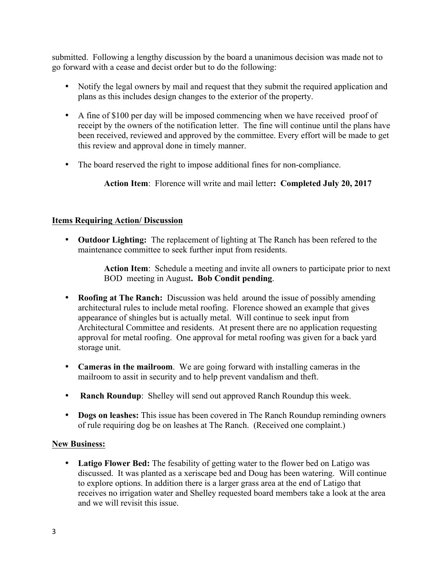submitted. Following a lengthy discussion by the board a unanimous decision was made not to go forward with a cease and decist order but to do the following:

- Notify the legal owners by mail and request that they submit the required application and plans as this includes design changes to the exterior of the property.
- A fine of \$100 per day will be imposed commencing when we have received proof of receipt by the owners of the notification letter. The fine will continue until the plans have been received, reviewed and approved by the committee. Every effort will be made to get this review and approval done in timely manner.
- The board reserved the right to impose additional fines for non-compliance.

**Action Item**: Florence will write and mail letter**: Completed July 20, 2017**

# **Items Requiring Action/ Discussion**

• **Outdoor Lighting:** The replacement of lighting at The Ranch has been refered to the maintenance committee to seek further input from residents.

> **Action Item**: Schedule a meeting and invite all owners to participate prior to next BOD meeting in August**. Bob Condit pending**.

- **Roofing at The Ranch:** Discussion was held around the issue of possibly amending architectural rules to include metal roofing. Florence showed an example that gives appearance of shingles but is actually metal. Will continue to seek input from Architectural Committee and residents. At present there are no application requesting approval for metal roofing. One approval for metal roofing was given for a back yard storage unit.
- **Cameras in the mailroom**. We are going forward with installing cameras in the mailroom to assit in security and to help prevent vandalism and theft.
- **Ranch Roundup**: Shelley will send out approved Ranch Roundup this week.
- **Dogs on leashes:** This issue has been covered in The Ranch Roundup reminding owners of rule requiring dog be on leashes at The Ranch. (Received one complaint.)

## **New Business:**

• **Latigo Flower Bed:** The fesability of getting water to the flower bed on Latigo was discussed. It was planted as a xeriscape bed and Doug has been watering. Will continue to explore options. In addition there is a larger grass area at the end of Latigo that receives no irrigation water and Shelley requested board members take a look at the area and we will revisit this issue.